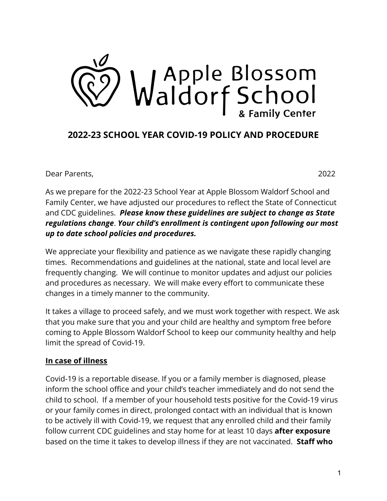

## **2022-23 SCHOOL YEAR COVID-19 POLICY AND PROCEDURE**

Dear Parents, 2022

As we prepare for the 2022-23 School Year at Apple Blossom Waldorf School and Family Center, we have adjusted our procedures to reflect the State of Connecticut and CDC guidelines. *Please know these guidelines are subject to change as State regulations change*. *Your child's enrollment is contingent upon following our most up to date school policies and procedures.*

We appreciate your flexibility and patience as we navigate these rapidly changing times. Recommendations and guidelines at the national, state and local level are frequently changing. We will continue to monitor updates and adjust our policies and procedures as necessary. We will make every effort to communicate these changes in a timely manner to the community.

It takes a village to proceed safely, and we must work together with respect. We ask that you make sure that you and your child are healthy and symptom free before coming to Apple Blossom Waldorf School to keep our community healthy and help limit the spread of Covid-19.

## **In case of illness**

Covid-19 is a reportable disease. If you or a family member is diagnosed, please inform the school office and your child's teacher immediately and do not send the child to school. If a member of your household tests positive for the Covid-19 virus or your family comes in direct, prolonged contact with an individual that is known to be actively ill with Covid-19, we request that any enrolled child and their family follow current CDC guidelines and stay home for at least 10 days **after exposure** based on the time it takes to develop illness if they are not vaccinated. **Staff who**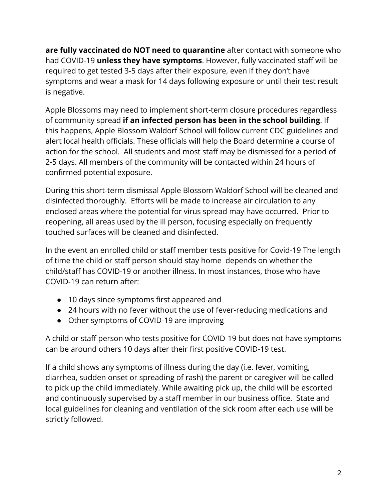**are fully vaccinated do NOT need to quarantine** after contact with someone who had COVID-19 **unless they have symptoms**. However, fully vaccinated staff will be required to get tested 3-5 days after their exposure, even if they don't have symptoms and wear a mask for 14 days following exposure or until their test result is negative.

Apple Blossoms may need to implement short-term closure procedures regardless of community spread **if an infected person has been in the school building**. If this happens, Apple Blossom Waldorf School will follow current CDC guidelines and alert local health officials. These officials will help the Board determine a course of action for the school. All students and most staff may be dismissed for a period of 2-5 days. All members of the community will be contacted within 24 hours of confirmed potential exposure.

During this short-term dismissal Apple Blossom Waldorf School will be cleaned and disinfected thoroughly. Efforts will be made to increase air circulation to any enclosed areas where the potential for virus spread may have occurred. Prior to reopening, all areas used by the ill person, focusing especially on frequently touched surfaces will be cleaned and disinfected.

In the event an enrolled child or staff member tests positive for Covid-19 The length of time the child or staff person should stay home depends on whether the child/staff has COVID-19 or another illness. In most instances, those who have COVID-19 can return after:

- 10 days since symptoms first appeared and
- 24 hours with no fever without the use of fever-reducing medications and
- Other symptoms of COVID-19 are improving

A child or staff person who tests positive for COVID-19 but does not have symptoms can be around others 10 days after their first positive COVID-19 test.

If a child shows any symptoms of illness during the day (i.e. fever, vomiting, diarrhea, sudden onset or spreading of rash) the parent or caregiver will be called to pick up the child immediately. While awaiting pick up, the child will be escorted and continuously supervised by a staff member in our business office. State and local guidelines for cleaning and ventilation of the sick room after each use will be strictly followed.